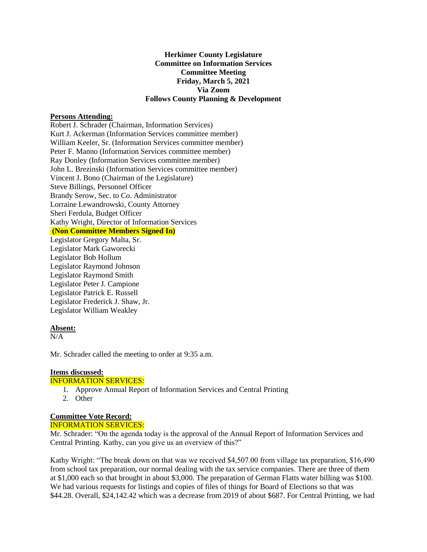## **Herkimer County Legislature Committee on Information Services Committee Meeting Friday, March 5, 2021 Via Zoom Follows County Planning & Development**

## **Persons Attending:**

Robert J. Schrader (Chairman, Information Services) Kurt J. Ackerman (Information Services committee member) William Keeler, Sr. (Information Services committee member) Peter F. Manno (Information Services committee member) Ray Donley (Information Services committee member) John L. Brezinski (Information Services committee member) Vincent J. Bono (Chairman of the Legislature) Steve Billings, Personnel Officer Brandy Serow, Sec. to Co. Administrator Lorraine Lewandrowski, County Attorney Sheri Ferdula, Budget Officer Kathy Wright, Director of Information Services **(Non Committee Members Signed In)** Legislator Gregory Malta, Sr. Legislator Mark Gaworecki Legislator Bob Hollum Legislator Raymond Johnson Legislator Raymond Smith Legislator Peter J. Campione Legislator Patrick E. Russell Legislator Frederick J. Shaw, Jr. Legislator William Weakley

### **Absent:**

 $N/A$ 

Mr. Schrader called the meeting to order at 9:35 a.m.

# **Items discussed:**

## INFORMATION SERVICES:

- 1. Approve Annual Report of Information Services and Central Printing
- 2. Other

#### **Committee Vote Record:** INFORMATION SERVICES:

Mr. Schrader: "On the agenda today is the approval of the Annual Report of Information Services and Central Printing. Kathy, can you give us an overview of this?"

Kathy Wright: "The break down on that was we received \$4,507.00 from village tax preparation, \$16,490 from school tax preparation, our normal dealing with the tax service companies. There are three of them at \$1,000 each so that brought in about \$3,000. The preparation of German Flatts water billing was \$100. We had various requests for listings and copies of files of things for Board of Elections so that was \$44.28. Overall, \$24,142.42 which was a decrease from 2019 of about \$687. For Central Printing, we had